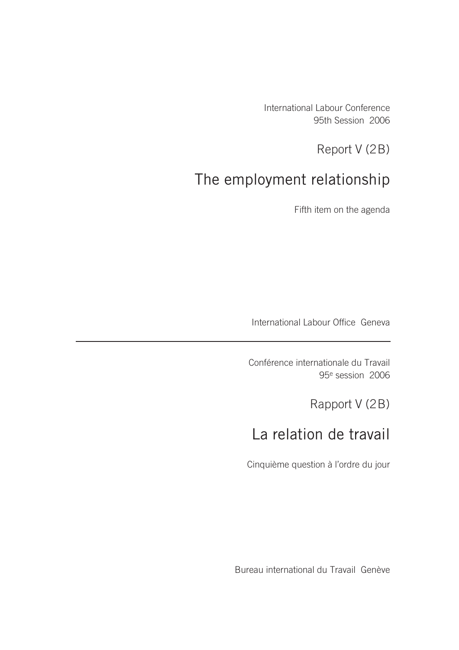International Labour Conference 95th Session 2006

Report V (2B)

# The employment relationship

Fifth item on the agenda

International Labour Office Geneva

Conférence internationale du Travail 95e session 2006

Rapport V (2B)

# La relation de travail

Cinquième question à l'ordre du jour

Bureau international du Travail Genève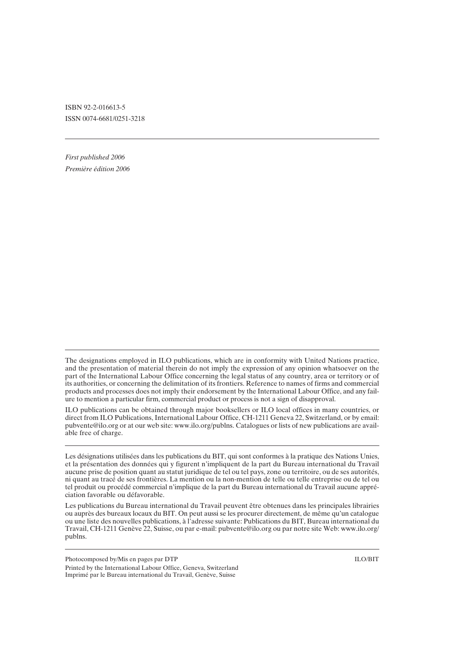ISBN 92-2-016613-5 ISSN 0074-6681/0251-3218

*First published 2006 Première édition 2006*

ILO publications can be obtained through major booksellers or ILO local offices in many countries, or direct from ILO Publications, International Labour Office, CH-1211 Geneva 22, Switzerland, or by email: pubvente@ilo.org or at our web site: www.ilo.org/publns. Catalogues or lists of new publications are available free of charge.

Les désignations utilisées dans les publications du BIT, qui sont conformes à la pratique des Nations Unies, et la présentation des données qui y figurent n'impliquent de la part du Bureau international du Travail aucune prise de position quant au statut juridique de tel ou tel pays, zone ou territoire, ou de ses autorités, ni quant au tracé de ses frontières. La mention ou la non-mention de telle ou telle entreprise ou de tel ou tel produit ou procédé commercial n'implique de la part du Bureau international du Travail aucune appréciation favorable ou défavorable.

Les publications du Bureau international du Travail peuvent être obtenues dans les principales librairies ou auprès des bureaux locaux du BIT. On peut aussi se les procurer directement, de même qu'un catalogue ou une liste des nouvelles publications, à l'adresse suivante: Publications du BIT, Bureau international du Travail, CH-1211 Genève 22, Suisse, ou par e-mail: pubvente@ilo.org ou par notre site Web: www.ilo.org/ publns.

Photocomposed by/Mis en pages par DTP ILO/BIT Printed by the International Labour Office, Geneva, Switzerland Imprimé par le Bureau international du Travail, Genève, Suisse

The designations employed in ILO publications, which are in conformity with United Nations practice, and the presentation of material therein do not imply the expression of any opinion whatsoever on the part of the International Labour Office concerning the legal status of any country, area or territory or of its authorities, or concerning the delimitation of its frontiers. Reference to names of firms and commercial products and processes does not imply their endorsement by the International Labour Office, and any failure to mention a particular firm, commercial product or process is not a sign of disapproval.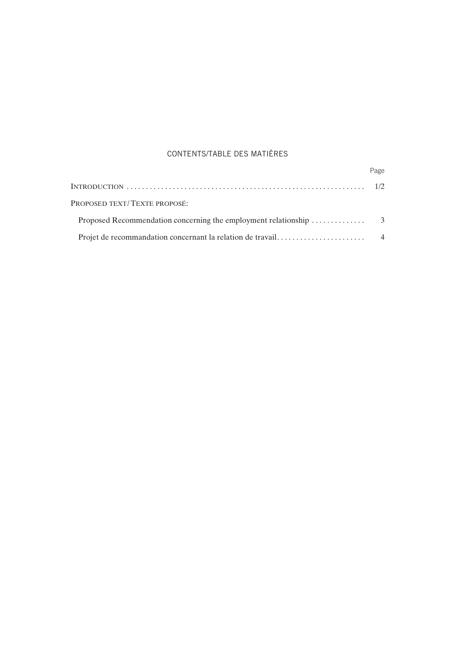### CONTENTS/TABLE DES MATIÈRES

|                              | Page |
|------------------------------|------|
|                              |      |
| PROPOSED TEXT/TEXTE PROPOSÉ: |      |
|                              |      |
|                              |      |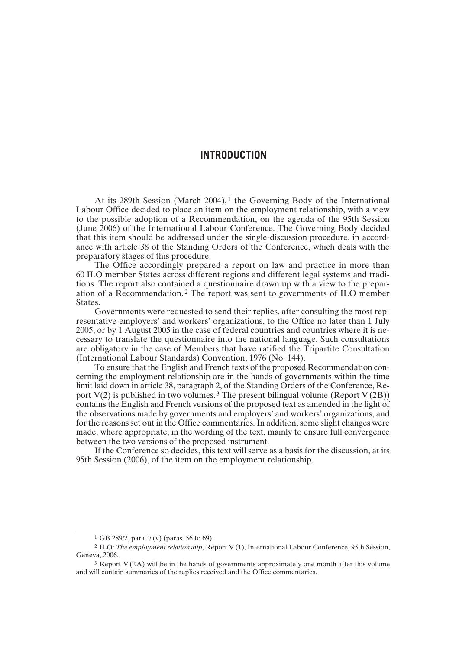#### **INTRODUCTION**

At its 289th Session (March 2004),<sup>1</sup> the Governing Body of the International Labour Office decided to place an item on the employment relationship, with a view to the possible adoption of a Recommendation, on the agenda of the 95th Session (June 2006) of the International Labour Conference. The Governing Body decided that this item should be addressed under the single-discussion procedure, in accordance with article 38 of the Standing Orders of the Conference, which deals with the preparatory stages of this procedure.

The Office accordingly prepared a report on law and practice in more than 60 ILO member States across different regions and different legal systems and traditions. The report also contained a questionnaire drawn up with a view to the preparation of a Recommendation. 2 The report was sent to governments of ILO member States.

Governments were requested to send their replies, after consulting the most representative employers' and workers' organizations, to the Office no later than 1 July 2005, or by 1 August 2005 in the case of federal countries and countries where it is necessary to translate the questionnaire into the national language. Such consultations are obligatory in the case of Members that have ratified the Tripartite Consultation (International Labour Standards) Convention, 1976 (No. 144).

To ensure that the English and French texts of the proposed Recommendation concerning the employment relationship are in the hands of governments within the time limit laid down in article 38, paragraph 2, of the Standing Orders of the Conference, Report  $V(2)$  is published in two volumes.<sup>3</sup> The present bilingual volume (Report  $V(2B)$ ) contains the English and French versions of the proposed text as amended in the light of the observations made by governments and employers' and workers' organizations, and for the reasons set out in the Office commentaries. In addition, some slight changes were made, where appropriate, in the wording of the text, mainly to ensure full convergence between the two versions of the proposed instrument.

If the Conference so decides, this text will serve as a basis for the discussion, at its 95th Session (2006), of the item on the employment relationship.

<sup>1</sup> GB.289/2, para. 7 (v) (paras. 56 to 69).

<sup>2</sup> ILO: *The employment relationship*, Report V (1), International Labour Conference, 95th Session, Geneva, 2006.

<sup>&</sup>lt;sup>3</sup> Report V(2A) will be in the hands of governments approximately one month after this volume and will contain summaries of the replies received and the Office commentaries.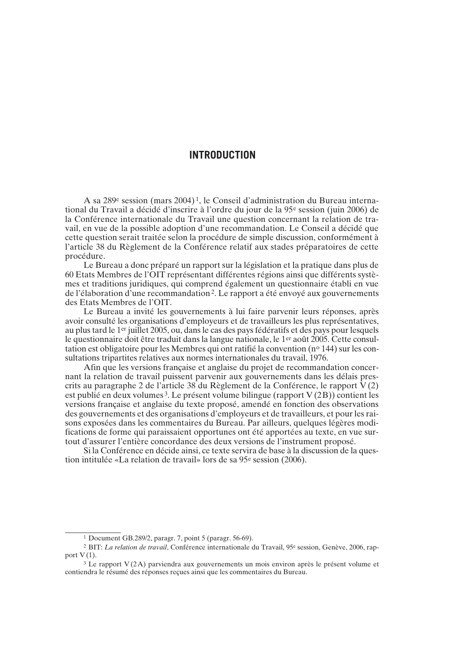### **INTRODUCTION**

A sa 289e session (mars 2004) 1, le Conseil d'administration du Bureau international du Travail a décidé d'inscrire à l'ordre du jour de la 95e session (juin 2006) de la Conférence internationale du Travail une question concernant la relation de travail, en vue de la possible adoption d'une recommandation. Le Conseil a décidé que cette question serait traitée selon la procédure de simple discussion, conformément à l'article 38 du Règlement de la Conférence relatif aux stades préparatoires de cette procédure.

Le Bureau a donc préparé un rapport sur la législation et la pratique dans plus de 60 Etats Membres de l'OIT représentant différentes régions ainsi que différents systèmes et traditions juridiques, qui comprend également un questionnaire établi en vue de l'élaboration d'une recommandation2. Le rapport a été envoyé aux gouvernements des Etats Membres de l'OIT.

Le Bureau a invité les gouvernements à lui faire parvenir leurs réponses, après avoir consulté les organisations d'employeurs et de travailleurs les plus représentatives, au plus tard le 1er juillet 2005, ou, dans le cas des pays fédératifs et des pays pour lesquels le questionnaire doit être traduit dans la langue nationale, le 1er août 2005. Cette consultation est obligatoire pour les Membres qui ont ratifié la convention (nº 144) sur les consultations tripartites relatives aux normes internationales du travail, 1976.

Afin que les versions française et anglaise du projet de recommandation concernant la relation de travail puissent parvenir aux gouvernements dans les délais prescrits au paragraphe 2 de l'article 38 du Règlement de la Conférence, le rapport  $V(2)$ est publié en deux volumes 3. Le présent volume bilingue (rapport V (2B)) contient les versions française et anglaise du texte proposé, amendé en fonction des observations des gouvernements et des organisations d'employeurs et de travailleurs, et pour les raisons exposées dans les commentaires du Bureau. Par ailleurs, quelques légères modifications de forme qui paraissaient opportunes ont été apportées au texte, en vue surtout d'assurer l'entière concordance des deux versions de l'instrument proposé.

Si la Conférence en décide ainsi, ce texte servira de base à la discussion de la question intitulée «La relation de travail» lors de sa 95e session (2006).

<sup>1</sup> Document GB.289/2, paragr. 7, point 5 (paragr. 56-69).

<sup>2</sup> BIT: *La relation de travail*, Conférence internationale du Travail, 95e session, Genève, 2006, rapport  $V(1)$ .

<sup>3</sup> Le rapport V (2A) parviendra aux gouvernements un mois environ après le présent volume et contiendra le résumé des réponses reçues ainsi que les commentaires du Bureau.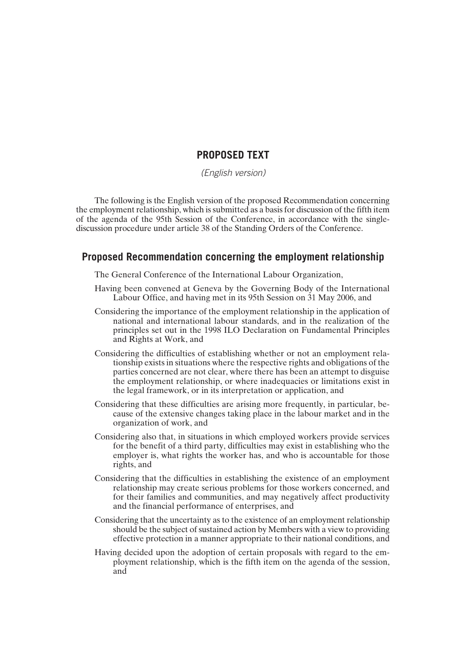## **PROPOSED TEXT**

*(English version)*

The following is the English version of the proposed Recommendation concerning the employment relationship, which is submitted as a basis for discussion of the fifth item of the agenda of the 95th Session of the Conference, in accordance with the singlediscussion procedure under article 38 of the Standing Orders of the Conference.

### **Proposed Recommendation concerning the employment relationship**

The General Conference of the International Labour Organization,

- Having been convened at Geneva by the Governing Body of the International Labour Office, and having met in its 95th Session on 31 May 2006, and
- Considering the importance of the employment relationship in the application of national and international labour standards, and in the realization of the principles set out in the 1998 ILO Declaration on Fundamental Principles and Rights at Work, and
- Considering the difficulties of establishing whether or not an employment relationship exists in situations where the respective rights and obligations of the parties concerned are not clear, where there has been an attempt to disguise the employment relationship, or where inadequacies or limitations exist in the legal framework, or in its interpretation or application, and
- Considering that these difficulties are arising more frequently, in particular, because of the extensive changes taking place in the labour market and in the organization of work, and
- Considering also that, in situations in which employed workers provide services for the benefit of a third party, difficulties may exist in establishing who the employer is, what rights the worker has, and who is accountable for those rights, and
- Considering that the difficulties in establishing the existence of an employment relationship may create serious problems for those workers concerned, and for their families and communities, and may negatively affect productivity and the financial performance of enterprises, and
- Considering that the uncertainty as to the existence of an employment relationship should be the subject of sustained action by Members with a view to providing effective protection in a manner appropriate to their national conditions, and
- Having decided upon the adoption of certain proposals with regard to the employment relationship, which is the fifth item on the agenda of the session, and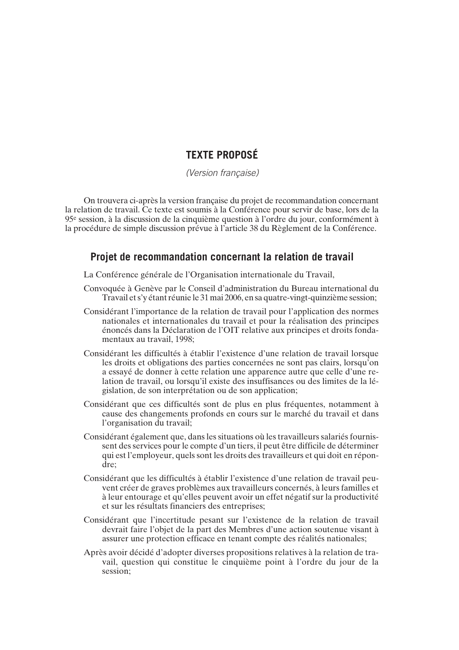## **TEXTE PROPOSÉ**

*(Version française)*

On trouvera ci-après la version française du projet de recommandation concernant la relation de travail. Ce texte est soumis à la Conférence pour servir de base, lors de la 95e session, à la discussion de la cinquième question à l'ordre du jour, conformément à la procédure de simple discussion prévue à l'article 38 du Règlement de la Conférence.

### **Projet de recommandation concernant la relation de travail**

La Conférence générale de l'Organisation internationale du Travail,

- Convoquée à Genève par le Conseil d'administration du Bureau international du Travail et s'y étant réunie le 31 mai 2006, en sa quatre-vingt-quinzième session;
- Considérant l'importance de la relation de travail pour l'application des normes nationales et internationales du travail et pour la réalisation des principes énoncés dans la Déclaration de l'OIT relative aux principes et droits fondamentaux au travail, 1998;
- Considérant les difficultés à établir l'existence d'une relation de travail lorsque les droits et obligations des parties concernées ne sont pas clairs, lorsqu'on a essayé de donner à cette relation une apparence autre que celle d'une relation de travail, ou lorsqu'il existe des insuffisances ou des limites de la législation, de son interprétation ou de son application;
- Considérant que ces difficultés sont de plus en plus fréquentes, notamment à cause des changements profonds en cours sur le marché du travail et dans l'organisation du travail;
- Considérant également que, dans les situations où les travailleurs salariés fournissent des services pour le compte d'un tiers, il peut être difficile de déterminer qui est l'employeur, quels sont les droits des travailleurs et qui doit en répondre;
- Considérant que les difficultés à établir l'existence d'une relation de travail peuvent créer de graves problèmes aux travailleurs concernés, à leurs familles et à leur entourage et qu'elles peuvent avoir un effet négatif sur la productivité et sur les résultats financiers des entreprises;
- Considérant que l'incertitude pesant sur l'existence de la relation de travail devrait faire l'objet de la part des Membres d'une action soutenue visant à assurer une protection efficace en tenant compte des réalités nationales;
- Après avoir décidé d'adopter diverses propositions relatives à la relation de travail, question qui constitue le cinquième point à l'ordre du jour de la session;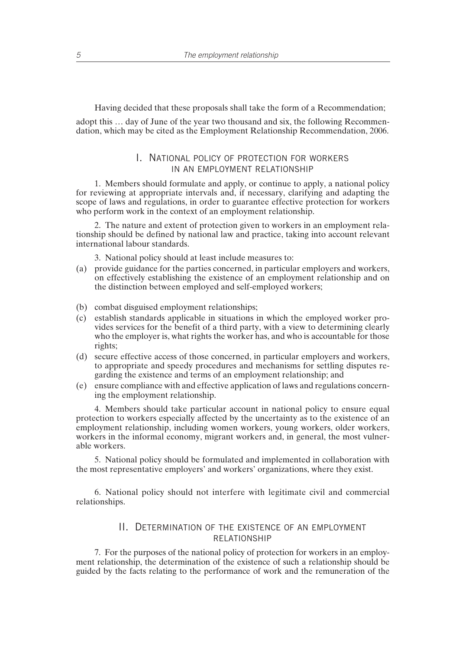Having decided that these proposals shall take the form of a Recommendation;

adopt this … day of June of the year two thousand and six, the following Recommendation, which may be cited as the Employment Relationship Recommendation, 2006.

#### I. NATIONAL POLICY OF PROTECTION FOR WORKERS IN AN EMPLOYMENT RELATIONSHIP

1. Members should formulate and apply, or continue to apply, a national policy for reviewing at appropriate intervals and, if necessary, clarifying and adapting the scope of laws and regulations, in order to guarantee effective protection for workers who perform work in the context of an employment relationship.

2. The nature and extent of protection given to workers in an employment relationship should be defined by national law and practice, taking into account relevant international labour standards.

3. National policy should at least include measures to:

- (a) provide guidance for the parties concerned, in particular employers and workers, on effectively establishing the existence of an employment relationship and on the distinction between employed and self-employed workers;
- (b) combat disguised employment relationships;
- (c) establish standards applicable in situations in which the employed worker provides services for the benefit of a third party, with a view to determining clearly who the employer is, what rights the worker has, and who is accountable for those rights;
- (d) secure effective access of those concerned, in particular employers and workers, to appropriate and speedy procedures and mechanisms for settling disputes regarding the existence and terms of an employment relationship; and
- (e) ensure compliance with and effective application of laws and regulations concerning the employment relationship.

4. Members should take particular account in national policy to ensure equal protection to workers especially affected by the uncertainty as to the existence of an employment relationship, including women workers, young workers, older workers, workers in the informal economy, migrant workers and, in general, the most vulnerable workers.

5. National policy should be formulated and implemented in collaboration with the most representative employers' and workers' organizations, where they exist.

6. National policy should not interfere with legitimate civil and commercial relationships.

#### II. DETERMINATION OF THE EXISTENCE OF AN EMPLOYMENT RELATIONSHIP

7. For the purposes of the national policy of protection for workers in an employment relationship, the determination of the existence of such a relationship should be guided by the facts relating to the performance of work and the remuneration of the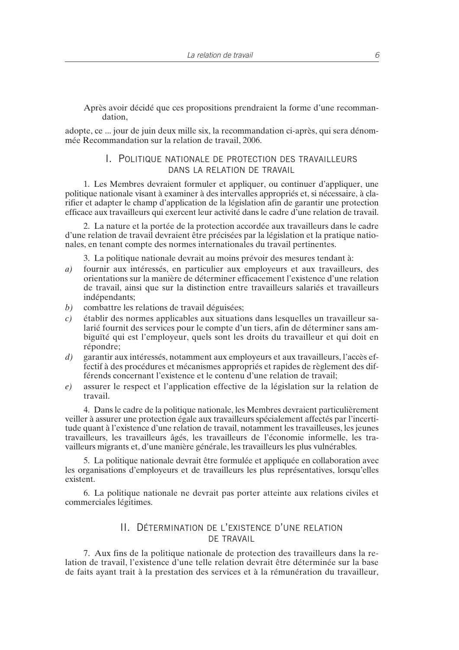Après avoir décidé que ces propositions prendraient la forme d'une recommandation,

adopte, ce ... jour de juin deux mille six, la recommandation ci-après, qui sera dénommée Recommandation sur la relation de travail, 2006.

#### I. POLITIQUE NATIONALE DE PROTECTION DES TRAVAILLEURS DANS LA RELATION DE TRAVAIL

1. Les Membres devraient formuler et appliquer, ou continuer d'appliquer, une politique nationale visant à examiner à des intervalles appropriés et, si nécessaire, à clarifier et adapter le champ d'application de la législation afin de garantir une protection efficace aux travailleurs qui exercent leur activité dans le cadre d'une relation de travail.

2. La nature et la portée de la protection accordée aux travailleurs dans le cadre d'une relation de travail devraient être précisées par la législation et la pratique nationales, en tenant compte des normes internationales du travail pertinentes.

3. La politique nationale devrait au moins prévoir des mesures tendant à:

- *a)* fournir aux intéressés, en particulier aux employeurs et aux travailleurs, des orientations sur la manière de déterminer efficacement l'existence d'une relation de travail, ainsi que sur la distinction entre travailleurs salariés et travailleurs indépendants;
- *b*) combattre les relations de travail déguisées;
- *c)* établir des normes applicables aux situations dans lesquelles un travailleur salarié fournit des services pour le compte d'un tiers, afin de déterminer sans ambiguïté qui est l'employeur, quels sont les droits du travailleur et qui doit en répondre;
- *d)* garantir aux intéressés, notamment aux employeurs et aux travailleurs, l'accès effectif à des procédures et mécanismes appropriés et rapides de règlement des différends concernant l'existence et le contenu d'une relation de travail;
- *e)* assurer le respect et l'application effective de la législation sur la relation de travail.

4. Dans le cadre de la politique nationale, les Membres devraient particulièrement veiller à assurer une protection égale aux travailleurs spécialement affectés par l'incertitude quant à l'existence d'une relation de travail, notamment les travailleuses, les jeunes travailleurs, les travailleurs âgés, les travailleurs de l'économie informelle, les travailleurs migrants et, d'une manière générale, les travailleurs les plus vulnérables.

5. La politique nationale devrait être formulée et appliquée en collaboration avec les organisations d'employeurs et de travailleurs les plus représentatives, lorsqu'elles existent.

6. La politique nationale ne devrait pas porter atteinte aux relations civiles et commerciales légitimes.

#### II. DÉTERMINATION DE L'EXISTENCE D'UNE RELATION DE TRAVAIL

7. Aux fins de la politique nationale de protection des travailleurs dans la relation de travail, l'existence d'une telle relation devrait être déterminée sur la base de faits ayant trait à la prestation des services et à la rémunération du travailleur,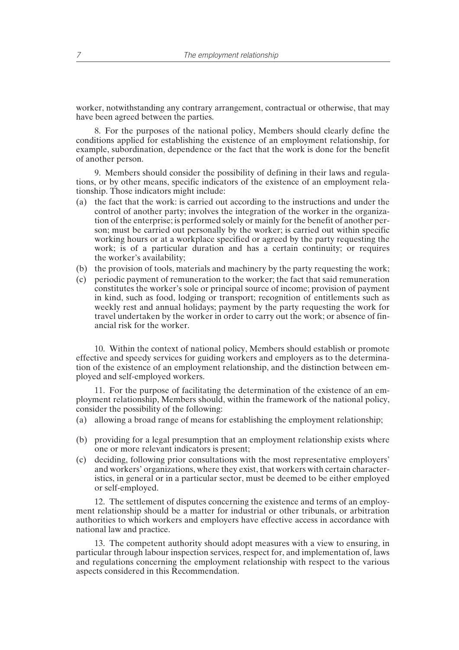worker, notwithstanding any contrary arrangement, contractual or otherwise, that may have been agreed between the parties.

8. For the purposes of the national policy, Members should clearly define the conditions applied for establishing the existence of an employment relationship, for example, subordination, dependence or the fact that the work is done for the benefit of another person.

9. Members should consider the possibility of defining in their laws and regulations, or by other means, specific indicators of the existence of an employment relationship. Those indicators might include:

- (a) the fact that the work: is carried out according to the instructions and under the control of another party; involves the integration of the worker in the organization of the enterprise; is performed solely or mainly for the benefit of another person; must be carried out personally by the worker; is carried out within specific working hours or at a workplace specified or agreed by the party requesting the work; is of a particular duration and has a certain continuity; or requires the worker's availability;
- (b) the provision of tools, materials and machinery by the party requesting the work;
- (c) periodic payment of remuneration to the worker; the fact that said remuneration constitutes the worker's sole or principal source of income; provision of payment in kind, such as food, lodging or transport; recognition of entitlements such as weekly rest and annual holidays; payment by the party requesting the work for travel undertaken by the worker in order to carry out the work; or absence of financial risk for the worker.

10. Within the context of national policy, Members should establish or promote effective and speedy services for guiding workers and employers as to the determination of the existence of an employment relationship, and the distinction between employed and self-employed workers.

11. For the purpose of facilitating the determination of the existence of an employment relationship, Members should, within the framework of the national policy, consider the possibility of the following:

- (a) allowing a broad range of means for establishing the employment relationship;
- (b) providing for a legal presumption that an employment relationship exists where one or more relevant indicators is present;
- (c) deciding, following prior consultations with the most representative employers' and workers' organizations, where they exist, that workers with certain characteristics, in general or in a particular sector, must be deemed to be either employed or self-employed.

12. The settlement of disputes concerning the existence and terms of an employment relationship should be a matter for industrial or other tribunals, or arbitration authorities to which workers and employers have effective access in accordance with national law and practice.

13. The competent authority should adopt measures with a view to ensuring, in particular through labour inspection services, respect for, and implementation of, laws and regulations concerning the employment relationship with respect to the various aspects considered in this Recommendation.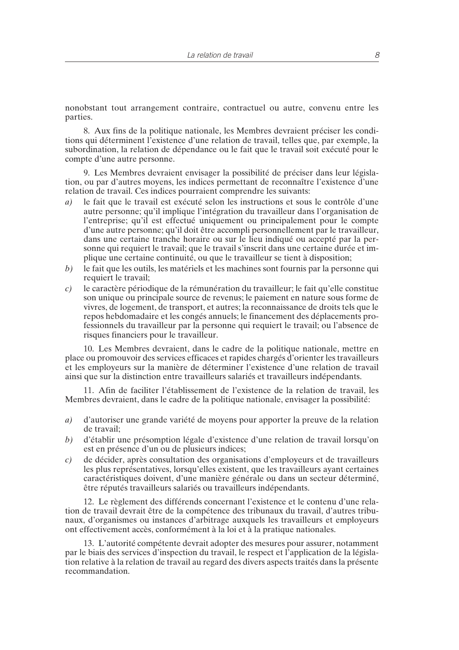nonobstant tout arrangement contraire, contractuel ou autre, convenu entre les parties.

8. Aux fins de la politique nationale, les Membres devraient préciser les conditions qui déterminent l'existence d'une relation de travail, telles que, par exemple, la subordination, la relation de dépendance ou le fait que le travail soit exécuté pour le compte d'une autre personne.

9. Les Membres devraient envisager la possibilité de préciser dans leur législation, ou par d'autres moyens, les indices permettant de reconnaître l'existence d'une relation de travail. Ces indices pourraient comprendre les suivants:

- *a)* le fait que le travail est exécuté selon les instructions et sous le contrôle d'une autre personne; qu'il implique l'intégration du travailleur dans l'organisation de l'entreprise; qu'il est effectué uniquement ou principalement pour le compte d'une autre personne; qu'il doit être accompli personnellement par le travailleur, dans une certaine tranche horaire ou sur le lieu indiqué ou accepté par la personne qui requiert le travail; que le travail s'inscrit dans une certaine durée et implique une certaine continuité, ou que le travailleur se tient à disposition;
- *b)* le fait que les outils, les matériels et les machines sont fournis par la personne qui requiert le travail;
- *c)* le caractère périodique de la rémunération du travailleur; le fait qu'elle constitue son unique ou principale source de revenus; le paiement en nature sous forme de vivres, de logement, de transport, et autres; la reconnaissance de droits tels que le repos hebdomadaire et les congés annuels; le financement des déplacements professionnels du travailleur par la personne qui requiert le travail; ou l'absence de risques financiers pour le travailleur.

10. Les Membres devraient, dans le cadre de la politique nationale, mettre en place ou promouvoir des services efficaces et rapides chargés d'orienter les travailleurs et les employeurs sur la manière de déterminer l'existence d'une relation de travail ainsi que sur la distinction entre travailleurs salariés et travailleurs indépendants.

11. Afin de faciliter l'établissement de l'existence de la relation de travail, les Membres devraient, dans le cadre de la politique nationale, envisager la possibilité:

- *a)* d'autoriser une grande variété de moyens pour apporter la preuve de la relation de travail;
- *b)* d'établir une présomption légale d'existence d'une relation de travail lorsqu'on est en présence d'un ou de plusieurs indices;
- *c)* de décider, après consultation des organisations d'employeurs et de travailleurs les plus représentatives, lorsqu'elles existent, que les travailleurs ayant certaines caractéristiques doivent, d'une manière générale ou dans un secteur déterminé, être réputés travailleurs salariés ou travailleurs indépendants.

12. Le règlement des différends concernant l'existence et le contenu d'une relation de travail devrait être de la compétence des tribunaux du travail, d'autres tribunaux, d'organismes ou instances d'arbitrage auxquels les travailleurs et employeurs ont effectivement accès, conformément à la loi et à la pratique nationales.

13. L'autorité compétente devrait adopter des mesures pour assurer, notamment par le biais des services d'inspection du travail, le respect et l'application de la législation relative à la relation de travail au regard des divers aspects traités dans la présente recommandation.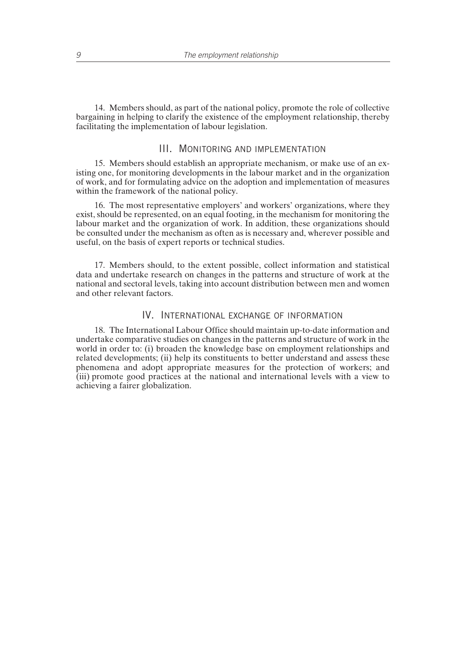14. Members should, as part of the national policy, promote the role of collective bargaining in helping to clarify the existence of the employment relationship, thereby facilitating the implementation of labour legislation.

#### III. MONITORING AND IMPLEMENTATION

15. Members should establish an appropriate mechanism, or make use of an existing one, for monitoring developments in the labour market and in the organization of work, and for formulating advice on the adoption and implementation of measures within the framework of the national policy.

16. The most representative employers' and workers' organizations, where they exist, should be represented, on an equal footing, in the mechanism for monitoring the labour market and the organization of work. In addition, these organizations should be consulted under the mechanism as often as is necessary and, wherever possible and useful, on the basis of expert reports or technical studies.

17. Members should, to the extent possible, collect information and statistical data and undertake research on changes in the patterns and structure of work at the national and sectoral levels, taking into account distribution between men and women and other relevant factors.

### IV. INTERNATIONAL EXCHANGE OF INFORMATION

18. The International Labour Office should maintain up-to-date information and undertake comparative studies on changes in the patterns and structure of work in the world in order to: (i) broaden the knowledge base on employment relationships and related developments; (ii) help its constituents to better understand and assess these phenomena and adopt appropriate measures for the protection of workers; and (iii) promote good practices at the national and international levels with a view to achieving a fairer globalization.